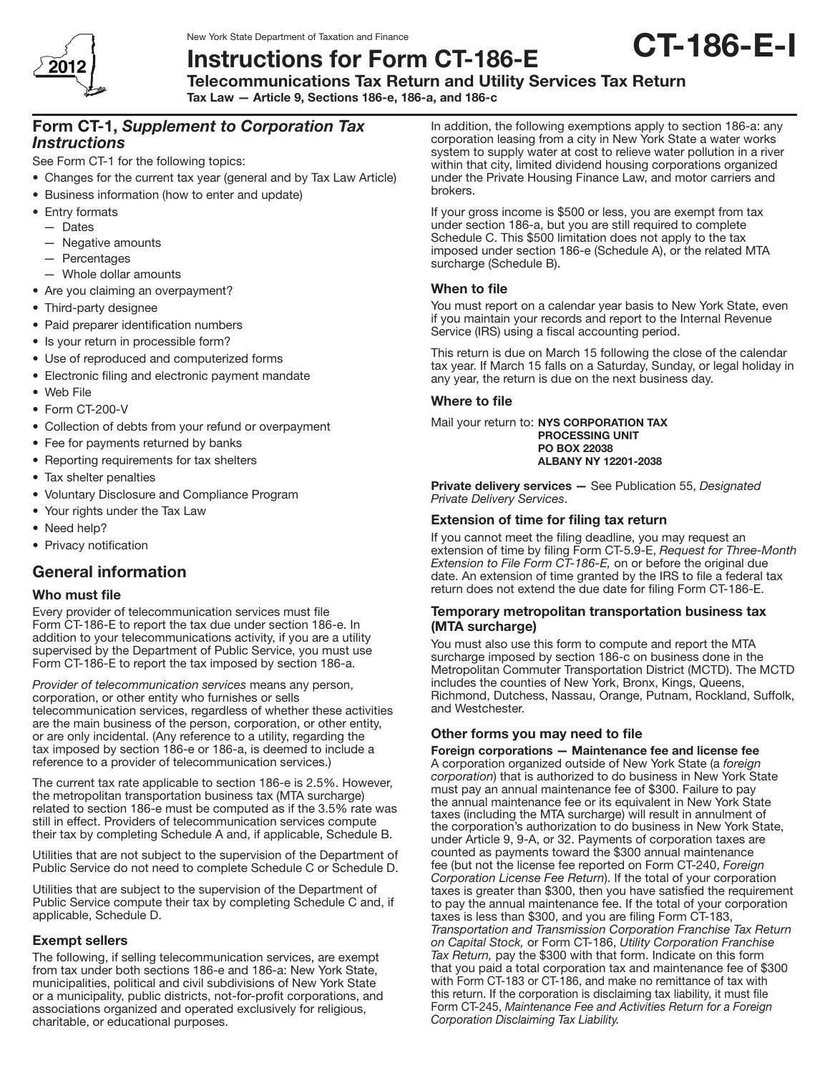

New York State Department of Taxation and Finance

# Instructions for Form CT-186-E Telecommunications Tax Return and Utility Services Tax Return

Tax Law — Article 9, Sections 186-e, 186-a, and 186-c

# Form CT-1, *Supplement to Corporation Tax Instructions*

See Form CT-1 for the following topics:

- Changes for the current tax year (general and by Tax Law Article)
- Business information (how to enter and update)
- Entry formats
	- — Dates
	- $-$  Negative amounts
	- — Percentages
	- Whole dollar amounts
- Are you claiming an overpayment?
- Third-party designee
- Paid preparer identification numbers
- Is your return in processible form?
- Use of reproduced and computerized forms
- Electronic filing and electronic payment mandate
- • Web File
- Form CT-200-V
- Collection of debts from your refund or overpayment
- Fee for payments returned by banks
- Reporting requirements for tax shelters
- Tax shelter penalties
- • Voluntary Disclosure and Compliance Program
- Your rights under the Tax Law
- Need help?
- Privacy notification

# General information

#### Who must file

Every provider of telecommunication services must file Form CT‑186-E to report the tax due under section 186-e. In addition to your telecommunications activity, if you are a utility supervised by the Department of Public Service, you must use Form CT-186-E to report the tax imposed by section 186-a.

*Provider of telecommunication services* means any person, corporation, or other entity who furnishes or sells telecommunication services, regardless of whether these activities are the main business of the person, corporation, or other entity, or are only incidental. (Any reference to a utility, regarding the tax imposed by section 186-e or 186-a, is deemed to include a reference to a provider of telecommunication services.)

The current tax rate applicable to section 186‑e is 2.5%. However, the metropolitan transportation business tax (MTA surcharge) related to section 186‑e must be computed as if the 3.5% rate was still in effect. Providers of telecommunication services compute their tax by completing Schedule A and, if applicable, Schedule B.

Utilities that are not subject to the supervision of the Department of Public Service do not need to complete Schedule C or Schedule D.

Utilities that are subject to the supervision of the Department of Public Service compute their tax by completing Schedule C and, if applicable, Schedule D.

# Exempt sellers

The following, if selling telecommunication services, are exempt from tax under both sections 186-e and 186-a: New York State, municipalities, political and civil subdivisions of New York State or a municipality, public districts, not-for-profit corporations, and associations organized and operated exclusively for religious, charitable, or educational purposes.

In addition, the following exemptions apply to section 186-a: any corporation leasing from a city in New York State a water works system to supply water at cost to relieve water pollution in a river within that city, limited dividend housing corporations organized under the Private Housing Finance Law, and motor carriers and brokers.

If your gross income is \$500 or less, you are exempt from tax under section 186-a, but you are still required to complete Schedule C. This \$500 limitation does not apply to the tax imposed under section 186-e (Schedule A), or the related MTA surcharge (Schedule B).

# When to file

You must report on a calendar year basis to New York State, even if you maintain your records and report to the Internal Revenue Service (IRS) using a fiscal accounting period.

This return is due on March 15 following the close of the calendar tax year. If March 15 falls on a Saturday, Sunday, or legal holiday in any year, the return is due on the next business day.

# Where to file

Mail your return to: NYS CORPORATION TAX PROCESSING UNIT PO BOX 22038 ALBANY NY 12201-2038

Private delivery services — See Publication 55, *Designated Private Delivery Services*.

# Extension of time for filing tax return

If you cannot meet the filing deadline, you may request an extension of time by filing Form CT-5.9-E, *Request for Three‑Month Extension to File Form CT-186-E,* on or before the original due date. An extension of time granted by the IRS to file a federal tax return does not extend the due date for filing Form CT-186-E.

# Temporary metropolitan transportation business tax (MTA surcharge)

You must also use this form to compute and report the MTA surcharge imposed by section 186-c on business done in the Metropolitan Commuter Transportation District (MCTD). The MCTD includes the counties of New York, Bronx, Kings, Queens, Richmond, Dutchess, Nassau, Orange, Putnam, Rockland, Suffolk, and Westchester.

# Other forms you may need to file

Foreign corporations — Maintenance fee and license fee A corporation organized outside of New York State (a *foreign corporation*) that is authorized to do business in New York State must pay an annual maintenance fee of \$300. Failure to pay the annual maintenance fee or its equivalent in New York State taxes (including the MTA surcharge) will result in annulment of the corporation's authorization to do business in New York State, under Article 9, 9-A, or 32. Payments of corporation taxes are counted as payments toward the \$300 annual maintenance fee (but not the license fee reported on Form CT-240, *Foreign Corporation License Fee Return*). If the total of your corporation taxes is greater than \$300, then you have satisfied the requirement to pay the annual maintenance fee. If the total of your corporation taxes is less than \$300, and you are filing Form CT-183, *Transportation and Transmission Corporation Franchise Tax Return on Capital Stock,* or Form CT-186, *Utility Corporation Franchise Tax Return,* pay the \$300 with that form. Indicate on this form that you paid a total corporation tax and maintenance fee of \$300 with Form CT-183 or CT-186, and make no remittance of tax with this return. If the corporation is disclaiming tax liability, it must file Form CT-245, *Maintenance Fee and Activities Return for a Foreign Corporation Disclaiming Tax Liability.*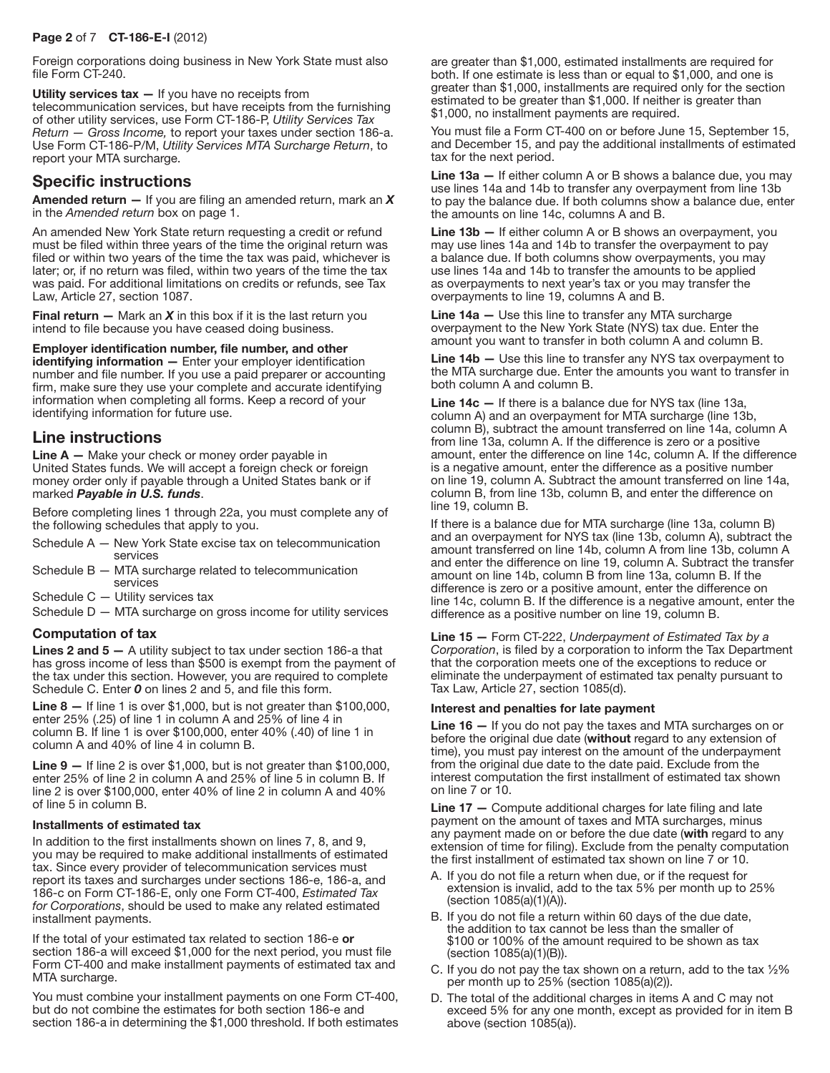## Page 2 of 7 CT-186-E-I (2012)

Foreign corporations doing business in New York State must also file Form CT-240.

Utility services  $\tan -$  If you have no receipts from telecommunication services, but have receipts from the furnishing of other utility services, use Form CT-186-P, *Utility Services Tax Return — Gross Income,* to report your taxes under section 186-a. Use Form CT-186-P/M, *Utility Services MTA Surcharge Return*, to report your MTA surcharge.

# Specific instructions

Amended return — If you are filing an amended return, mark an *X* in the *Amended return* box on page 1.

An amended New York State return requesting a credit or refund must be filed within three years of the time the original return was filed or within two years of the time the tax was paid, whichever is later; or, if no return was filed, within two years of the time the tax was paid. For additional limitations on credits or refunds, see Tax Law, Article 27, section 1087.

Final return  $-$  Mark an  $X$  in this box if it is the last return you intend to file because you have ceased doing business.

#### Employer identification number, file number, and other

identifying information - Enter your employer identification number and file number. If you use a paid preparer or accounting firm, make sure they use your complete and accurate identifying information when completing all forms. Keep a record of your identifying information for future use.

# Line instructions

**Line**  $A$  — Make your check or money order payable in United States funds. We will accept a foreign check or foreign money order only if payable through a United States bank or if marked *Payable in U.S. funds*.

Before completing lines 1 through 22a, you must complete any of the following schedules that apply to you.

- Schedule A New York State excise tax on telecommunication services
- Schedule B MTA surcharge related to telecommunication services
- Schedule C Utility services tax
- Schedule D MTA surcharge on gross income for utility services

# Computation of tax

**Lines 2 and 5 –** A utility subject to tax under section 186-a that has gross income of less than \$500 is exempt from the payment of the tax under this section. However, you are required to complete Schedule C. Enter *0* on lines 2 and 5, and file this form.

**Line 8**  $-$  If line 1 is over \$1,000, but is not greater than \$100,000, enter 25% (.25) of line 1 in column A and 25% of line 4 in column B. If line 1 is over \$100,000, enter 40% (.40) of line 1 in column A and 40% of line 4 in column B.

Line  $9 -$  If line 2 is over \$1,000, but is not greater than \$100,000, enter 25% of line 2 in column A and 25% of line 5 in column B. If line 2 is over \$100,000, enter 40% of line 2 in column A and 40% of line 5 in column B.

#### Installments of estimated tax

In addition to the first installments shown on lines 7, 8, and 9, you may be required to make additional installments of estimated tax. Since every provider of telecommunication services must report its taxes and surcharges under sections 186-e, 186-a, and 186-c on Form CT-186-E, only one Form CT-400, *Estimated Tax for Corporations*, should be used to make any related estimated installment payments.

If the total of your estimated tax related to section 186-e or section 186-a will exceed \$1,000 for the next period, you must file Form CT-400 and make installment payments of estimated tax and MTA surcharge.

You must combine your installment payments on one Form CT-400, but do not combine the estimates for both section 186-e and section 186-a in determining the \$1,000 threshold. If both estimates are greater than \$1,000, estimated installments are required for both. If one estimate is less than or equal to \$1,000, and one is greater than \$1,000, installments are required only for the section estimated to be greater than \$1,000. If neither is greater than \$1,000, no installment payments are required.

You must file a Form CT-400 on or before June 15, September 15, and December 15, and pay the additional installments of estimated tax for the next period.

Line 13a – If either column A or B shows a balance due, you may use lines 14a and 14b to transfer any overpayment from line 13b to pay the balance due. If both columns show a balance due, enter the amounts on line 14c, columns A and B.

Line 13b – If either column A or B shows an overpayment, you may use lines 14a and 14b to transfer the overpayment to pay a balance due. If both columns show overpayments, you may use lines 14a and 14b to transfer the amounts to be applied as overpayments to next year's tax or you may transfer the overpayments to line 19, columns A and B.

Line 14a — Use this line to transfer any MTA surcharge overpayment to the New York State (NYS) tax due. Enter the amount you want to transfer in both column A and column B.

Line 14b – Use this line to transfer any NYS tax overpayment to the MTA surcharge due. Enter the amounts you want to transfer in both column A and column B.

Line 14c — If there is a balance due for NYS tax (line 13a, column A) and an overpayment for MTA surcharge (line 13b, column B), subtract the amount transferred on line 14a, column A from line 13a, column A. If the difference is zero or a positive amount, enter the difference on line 14c, column A. If the difference is a negative amount, enter the difference as a positive number on line 19, column A. Subtract the amount transferred on line 14a, column B, from line 13b, column B, and enter the difference on line 19, column B.

If there is a balance due for MTA surcharge (line 13a, column B) and an overpayment for NYS tax (line 13b, column A), subtract the amount transferred on line 14b, column A from line 13b, column A and enter the difference on line 19, column A. Subtract the transfer amount on line 14b, column B from line 13a, column B. If the difference is zero or a positive amount, enter the difference on line 14c, column B. If the difference is a negative amount, enter the difference as a positive number on line 19, column B.

Line 15 — Form CT-222, *Underpayment of Estimated Tax by a Corporation*, is filed by a corporation to inform the Tax Department that the corporation meets one of the exceptions to reduce or eliminate the underpayment of estimated tax penalty pursuant to Tax Law, Article 27, section 1085(d).

#### Interest and penalties for late payment

Line 16 — If you do not pay the taxes and MTA surcharges on or before the original due date (without regard to any extension of time), you must pay interest on the amount of the underpayment from the original due date to the date paid. Exclude from the interest computation the first installment of estimated tax shown on line 7 or 10.

Line 17 — Compute additional charges for late filing and late payment on the amount of taxes and MTA surcharges, minus any payment made on or before the due date (with regard to any extension of time for filing). Exclude from the penalty computation the first installment of estimated tax shown on line 7 or 10.

- A. If you do not file a return when due, or if the request for extension is invalid, add to the tax 5% per month up to 25% (section 1085(a)(1)(A)).
- B. If you do not file a return within 60 days of the due date, the addition to tax cannot be less than the smaller of \$100 or 100% of the amount required to be shown as tax (section 1085(a)(1)(B)).
- C. If you do not pay the tax shown on a return, add to the tax  $\frac{1}{2}\%$ per month up to 25% (section 1085(a)(2)).
- D. The total of the additional charges in items A and C may not exceed 5% for any one month, except as provided for in item B above (section 1085(a)).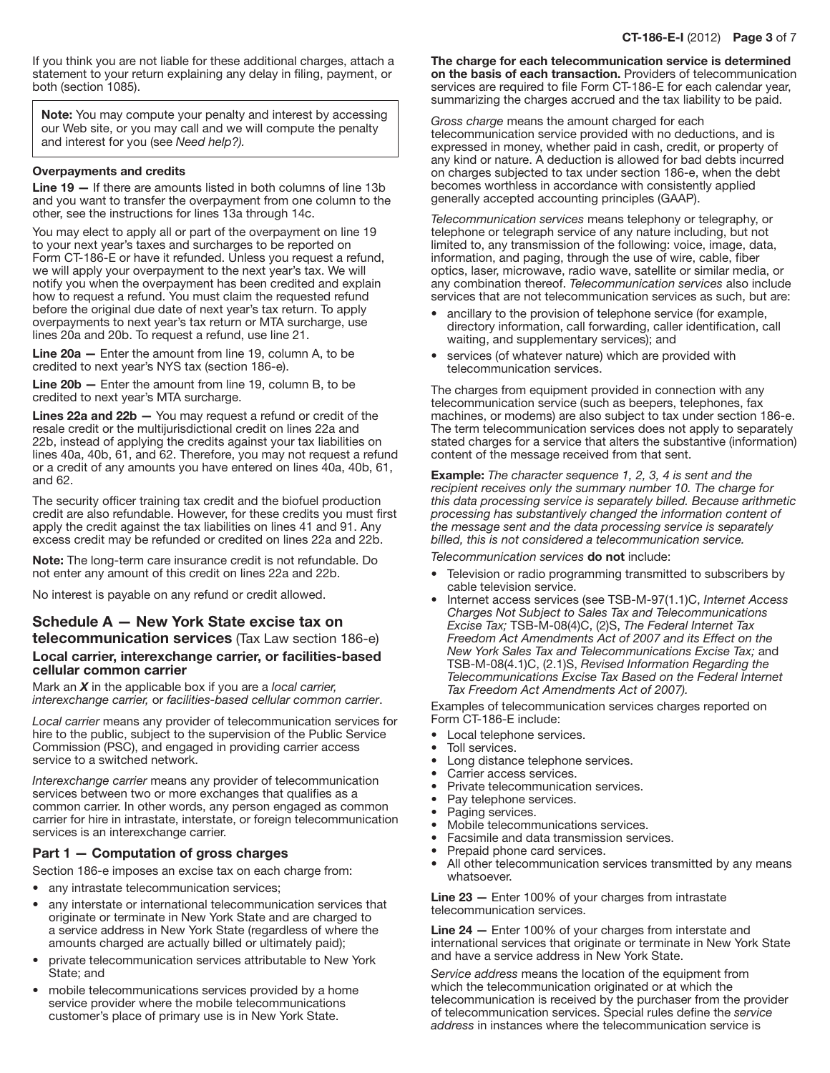If you think you are not liable for these additional charges, attach a statement to your return explaining any delay in filing, payment, or both (section 1085).

Note: You may compute your penalty and interest by accessing our Web site, or you may call and we will compute the penalty and interest for you (see *Need help?).*

#### Overpayments and credits

Line 19 — If there are amounts listed in both columns of line 13b and you want to transfer the overpayment from one column to the other, see the instructions for lines 13a through 14c.

You may elect to apply all or part of the overpayment on line 19 to your next year's taxes and surcharges to be reported on Form CT-186-E or have it refunded. Unless you request a refund, we will apply your overpayment to the next year's tax. We will notify you when the overpayment has been credited and explain how to request a refund. You must claim the requested refund before the original due date of next year's tax return. To apply overpayments to next year's tax return or MTA surcharge, use lines 20a and 20b. To request a refund, use line 21.

Line 20a — Enter the amount from line 19, column A, to be credited to next year's NYS tax (section 186-e).

Line 20b — Enter the amount from line 19, column B, to be credited to next year's MTA surcharge.

Lines 22a and 22b — You may request a refund or credit of the resale credit or the multijurisdictional credit on lines 22a and 22b, instead of applying the credits against your tax liabilities on lines 40a, 40b, 61, and 62. Therefore, you may not request a refund or a credit of any amounts you have entered on lines 40a, 40b, 61, and 62.

The security officer training tax credit and the biofuel production credit are also refundable. However, for these credits you must first apply the credit against the tax liabilities on lines 41 and 91. Any excess credit may be refunded or credited on lines 22a and 22b.

Note: The long-term care insurance credit is not refundable. Do not enter any amount of this credit on lines 22a and 22b.

No interest is payable on any refund or credit allowed.

# Schedule A — New York State excise tax on

# telecommunication services (Tax Law section 186-e) Local carrier, interexchange carrier, or facilities-based cellular common carrier

Mark an *X* in the applicable box if you are a *local carrier, interexchange carrier,* or *facilities-based cellular common carrier*.

*Local carrier* means any provider of telecommunication services for hire to the public, subject to the supervision of the Public Service Commission (PSC), and engaged in providing carrier access service to a switched network.

*Interexchange carrier* means any provider of telecommunication services between two or more exchanges that qualifies as a common carrier. In other words, any person engaged as common carrier for hire in intrastate, interstate, or foreign telecommunication services is an interexchange carrier.

# Part 1 — Computation of gross charges

Section 186-e imposes an excise tax on each charge from:

- any intrastate telecommunication services;
- any interstate or international telecommunication services that originate or terminate in New York State and are charged to a service address in New York State (regardless of where the amounts charged are actually billed or ultimately paid);
- private telecommunication services attributable to New York State; and
- mobile telecommunications services provided by a home service provider where the mobile telecommunications customer's place of primary use is in New York State.

The charge for each telecommunication service is determined on the basis of each transaction. Providers of telecommunication services are required to file Form CT-186-E for each calendar year, summarizing the charges accrued and the tax liability to be paid.

*Gross charge* means the amount charged for each telecommunication service provided with no deductions, and is expressed in money, whether paid in cash, credit, or property of any kind or nature. A deduction is allowed for bad debts incurred on charges subjected to tax under section 186-e, when the debt becomes worthless in accordance with consistently applied generally accepted accounting principles (GAAP).

*Telecommunication services* means telephony or telegraphy, or telephone or telegraph service of any nature including, but not limited to, any transmission of the following: voice, image, data, information, and paging, through the use of wire, cable, fiber optics, laser, microwave, radio wave, satellite or similar media, or any combination thereof. *Telecommunication services* also include services that are not telecommunication services as such, but are:

- ancillary to the provision of telephone service (for example, directory information, call forwarding, caller identification, call waiting, and supplementary services); and
- services (of whatever nature) which are provided with telecommunication services.

The charges from equipment provided in connection with any telecommunication service (such as beepers, telephones, fax machines, or modems) are also subject to tax under section 186-e. The term telecommunication services does not apply to separately stated charges for a service that alters the substantive (information) content of the message received from that sent.

Example: *The character sequence 1, 2, 3, 4 is sent and the recipient receives only the summary number 10. The charge for this data processing service is separately billed. Because arithmetic processing has substantively changed the information content of the message sent and the data processing service is separately billed, this is not considered a telecommunication service.*

*Telecommunication services* do not include:

- Television or radio programming transmitted to subscribers by cable television service.
- Internet access services (see TSB-M-97(1.1)C, *Internet Access Charges Not Subject to Sales Tax and Telecommunications Excise Tax;* TSB-M-08(4)C, (2)S, *The Federal Internet Tax Freedom Act Amendments Act of 2007 and its Effect on the New York Sales Tax and Telecommunications Excise Tax;* and TSB-M-08(4.1)C, (2.1)S, *Revised Information Regarding the Telecommunications Excise Tax Based on the Federal Internet Tax Freedom Act Amendments Act of 2007).*

Examples of telecommunication services charges reported on Form CT-186-E include:

- • Local telephone services.
- Toll services.
- Long distance telephone services.
- Carrier access services.
- Private telecommunication services.
- Pay telephone services.
- Paging services.
- Mobile telecommunications services.
- Facsimile and data transmission services.
- Prepaid phone card services.
- All other telecommunication services transmitted by any means whatsoever.

Line 23 - Enter 100% of your charges from intrastate telecommunication services.

Line 24 - Enter 100% of your charges from interstate and international services that originate or terminate in New York State and have a service address in New York State.

*Service address* means the location of the equipment from which the telecommunication originated or at which the telecommunication is received by the purchaser from the provider of telecommunication services. Special rules define the *service address* in instances where the telecommunication service is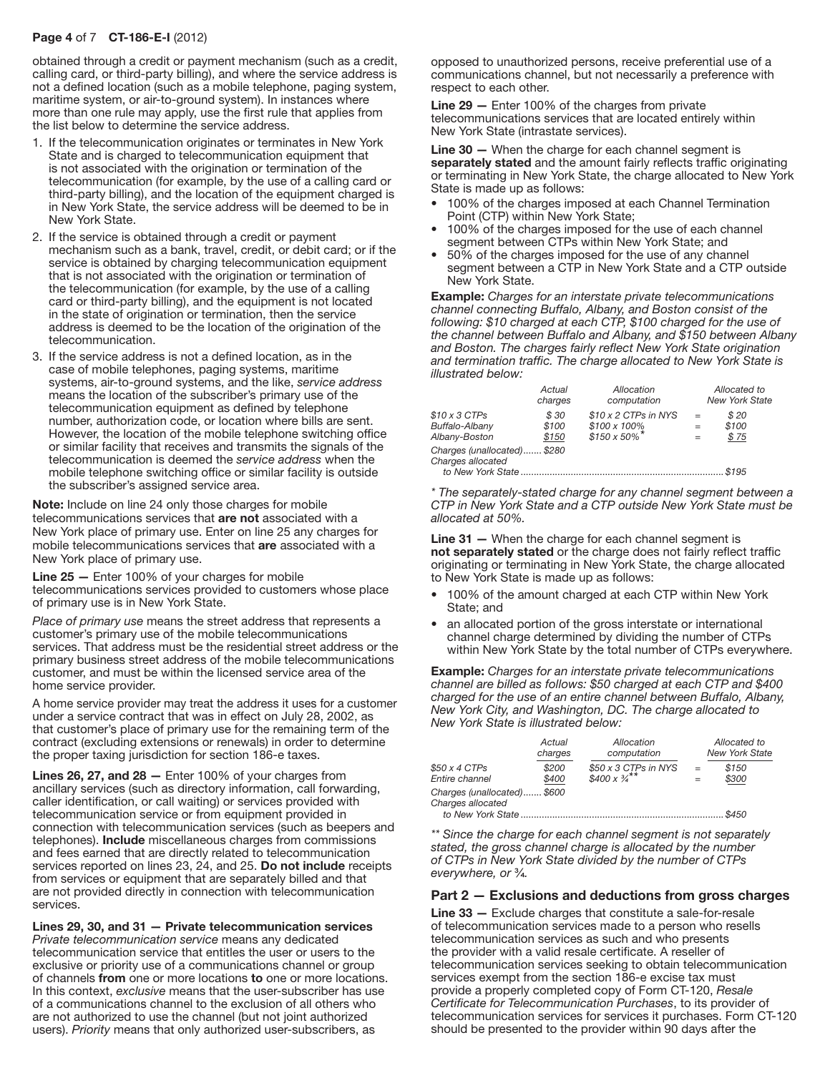## Page 4 of 7 CT-186-E-I (2012)

obtained through a credit or payment mechanism (such as a credit, calling card, or third-party billing), and where the service address is not a defined location (such as a mobile telephone, paging system, maritime system, or air-to-ground system). In instances where more than one rule may apply, use the first rule that applies from the list below to determine the service address.

- 1. If the telecommunication originates or terminates in New York State and is charged to telecommunication equipment that is not associated with the origination or termination of the telecommunication (for example, by the use of a calling card or third-party billing), and the location of the equipment charged is in New York State, the service address will be deemed to be in New York State.
- 2. If the service is obtained through a credit or payment mechanism such as a bank, travel, credit, or debit card; or if the service is obtained by charging telecommunication equipment that is not associated with the origination or termination of the telecommunication (for example, by the use of a calling card or third-party billing), and the equipment is not located in the state of origination or termination, then the service address is deemed to be the location of the origination of the telecommunication.
- 3. If the service address is not a defined location, as in the case of mobile telephones, paging systems, maritime systems, air‑to‑ground systems, and the like, *service address* means the location of the subscriber's primary use of the telecommunication equipment as defined by telephone number, authorization code, or location where bills are sent. However, the location of the mobile telephone switching office or similar facility that receives and transmits the signals of the telecommunication is deemed the *service address* when the mobile telephone switching office or similar facility is outside the subscriber's assigned service area.

Note: Include on line 24 only those charges for mobile telecommunications services that are not associated with a New York place of primary use. Enter on line 25 any charges for mobile telecommunications services that are associated with a New York place of primary use.

Line 25 — Enter 100% of your charges for mobile telecommunications services provided to customers whose place of primary use is in New York State.

*Place of primary use means the street address that represents a* customer's primary use of the mobile telecommunications services. That address must be the residential street address or the primary business street address of the mobile telecommunications customer, and must be within the licensed service area of the home service provider.

A home service provider may treat the address it uses for a customer under a service contract that was in effect on July 28, 2002, as that customer's place of primary use for the remaining term of the contract (excluding extensions or renewals) in order to determine the proper taxing jurisdiction for section 186-e taxes.

Lines 26, 27, and 28 — Enter 100% of your charges from ancillary services (such as directory information, call forwarding, caller identification, or call waiting) or services provided with telecommunication service or from equipment provided in connection with telecommunication services (such as beepers and telephones). Include miscellaneous charges from commissions and fees earned that are directly related to telecommunication services reported on lines 23, 24, and 25. Do not include receipts from services or equipment that are separately billed and that are not provided directly in connection with telecommunication services.

Lines 29, 30, and 31 — Private telecommunication services *Private telecommunication service* means any dedicated telecommunication service that entitles the user or users to the exclusive or priority use of a communications channel or group of channels from one or more locations to one or more locations. In this context, *exclusive* means that the user-subscriber has use of a communications channel to the exclusion of all others who are not authorized to use the channel (but not joint authorized users). *Priority* means that only authorized user-subscribers, as

opposed to unauthorized persons, receive preferential use of a communications channel, but not necessarily a preference with respect to each other.

Line 29 - Enter 100% of the charges from private telecommunications services that are located entirely within New York State (intrastate services).

Line 30 - When the charge for each channel segment is separately stated and the amount fairly reflects traffic originating or terminating in New York State, the charge allocated to New York State is made up as follows:

- 100% of the charges imposed at each Channel Termination Point (CTP) within New York State;
- 100% of the charges imposed for the use of each channel segment between CTPs within New York State; and
- 50% of the charges imposed for the use of any channel segment between a CTP in New York State and a CTP outside New York State.

Example: *Charges for an interstate private telecommunications channel connecting Buffalo, Albany, and Boston consist of the following: \$10 charged at each CTP, \$100 charged for the use of the channel between Buffalo and Albany, and \$150 between Albany and Boston. The charges fairly reflect New York State origination and termination traffic. The charge allocated to New York State is illustrated below:*

|                                                        | Actual<br>charges      | Allocation<br>computation                                                            |                   | Allocated to<br><b>New York State</b> |  |
|--------------------------------------------------------|------------------------|--------------------------------------------------------------------------------------|-------------------|---------------------------------------|--|
| $$10 \times 3$ CTPs<br>Buffalo-Albany<br>Albany-Boston | \$30<br>\$100<br>\$150 | $$10 \times 2$ CTPs in NYS<br>$$100 \times 100\%$<br>$$150 \times 50\%$ <sup>*</sup> | $=$<br>$=$<br>$=$ | \$20<br>\$100<br>\$75                 |  |
| Charges (unallocated) \$280<br>Charges allocated       |                        |                                                                                      |                   | \$195                                 |  |

*\* The separately-stated charge for any channel segment between a CTP in New York State and a CTP outside New York State must be allocated at 50%.*

Line 31 – When the charge for each channel segment is not separately stated or the charge does not fairly reflect traffic originating or terminating in New York State, the charge allocated to New York State is made up as follows:

- 100% of the amount charged at each CTP within New York State; and
- an allocated portion of the gross interstate or international channel charge determined by dividing the number of CTPs within New York State by the total number of CTPs everywhere.

Example: *Charges for an interstate private telecommunications channel are billed as follows: \$50 charged at each CTP and \$400 charged for the use of an entire channel between Buffalo, Albany, New York City, and Washington, DC. The charge allocated to New York State is illustrated below:*

|                                                  | Actual<br>charges | Allocation<br>computation                         |            | Allocated to<br><b>New York State</b> |  |
|--------------------------------------------------|-------------------|---------------------------------------------------|------------|---------------------------------------|--|
| \$50 x 4 CTPs<br>Entire channel                  | \$200<br>\$400    | \$50 x 3 CTPs in NYS<br>$$400 \times \frac{3}{4}$ | $=$<br>$=$ | \$150<br>\$300                        |  |
| Charges (unallocated) \$600<br>Charges allocated |                   |                                                   |            | \$450                                 |  |

*\*\* Since the charge for each channel segment is not separately stated, the gross channel charge is allocated by the number of CTPs in New York State divided by the number of CTPs everywhere, or* ¾*.*

#### Part 2 — Exclusions and deductions from gross charges

Line 33 — Exclude charges that constitute a sale-for-resale of telecommunication services made to a person who resells telecommunication services as such and who presents the provider with a valid resale certificate. A reseller of telecommunication services seeking to obtain telecommunication services exempt from the section 186-e excise tax must provide a properly completed copy of Form CT-120, *Resale Certificate for Telecommunication Purchases*, to its provider of telecommunication services for services it purchases. Form CT-120 should be presented to the provider within 90 days after the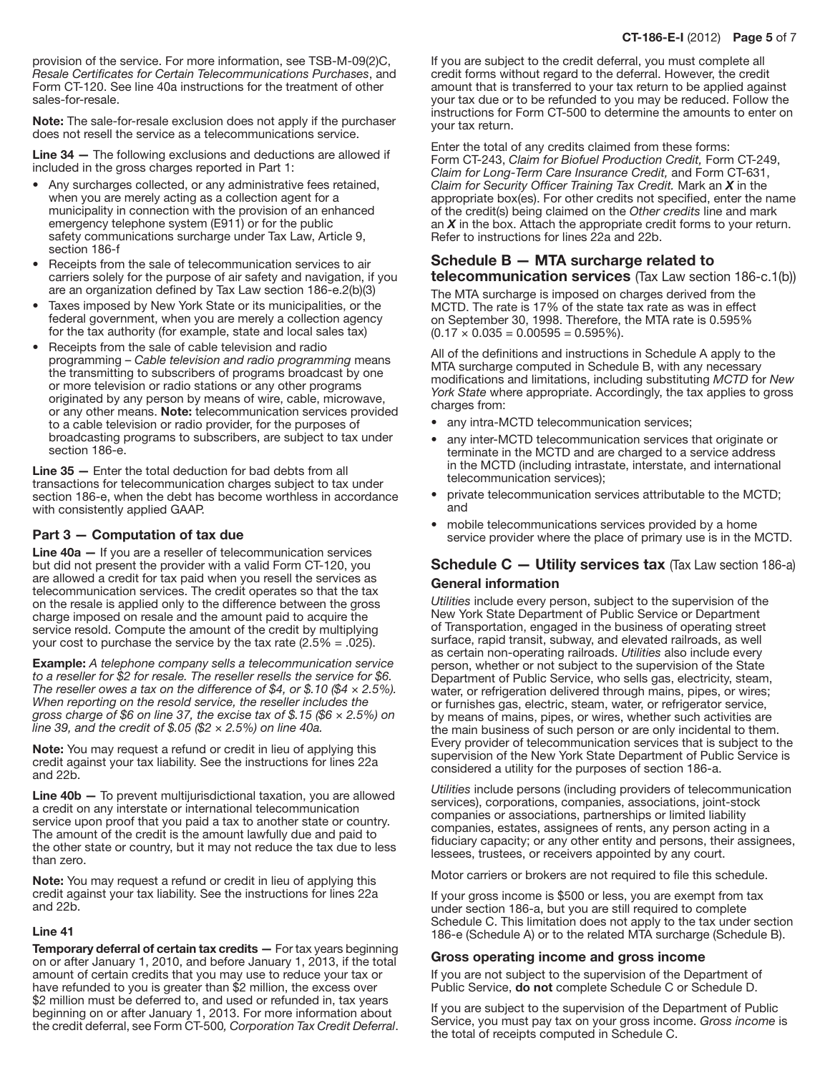provision of the service. For more information, see TSB-M-09(2)C, *Resale Certificates for Certain Telecommunications Purchases*, and Form CT-120. See line 40a instructions for the treatment of other sales-for-resale.

Note: The sale-for-resale exclusion does not apply if the purchaser does not resell the service as a telecommunications service.

Line 34 — The following exclusions and deductions are allowed if included in the gross charges reported in Part 1:

- Any surcharges collected, or any administrative fees retained, when you are merely acting as a collection agent for a municipality in connection with the provision of an enhanced emergency telephone system (E911) or for the public safety communications surcharge under Tax Law, Article 9, section 186-f
- Receipts from the sale of telecommunication services to air carriers solely for the purpose of air safety and navigation, if you are an organization defined by Tax Law section 186-e.2(b)(3)
- Taxes imposed by New York State or its municipalities, or the federal government, when you are merely a collection agency for the tax authority (for example, state and local sales tax)
- Receipts from the sale of cable television and radio programming – *Cable television and radio programming* means the transmitting to subscribers of programs broadcast by one or more television or radio stations or any other programs originated by any person by means of wire, cable, microwave, or any other means. Note: telecommunication services provided to a cable television or radio provider, for the purposes of broadcasting programs to subscribers, are subject to tax under section 186-e.

Line 35 — Enter the total deduction for bad debts from all transactions for telecommunication charges subject to tax under section 186-e, when the debt has become worthless in accordance with consistently applied GAAP.

## Part 3 — Computation of tax due

Line 40a — If you are a reseller of telecommunication services but did not present the provider with a valid Form CT-120, you are allowed a credit for tax paid when you resell the services as telecommunication services. The credit operates so that the tax on the resale is applied only to the difference between the gross charge imposed on resale and the amount paid to acquire the service resold. Compute the amount of the credit by multiplying your cost to purchase the service by the tax rate  $(2.5\% = .025)$ .

Example: *A telephone company sells a telecommunication service to a reseller for \$2 for resale. The reseller resells the service for \$6. The reseller owes a tax on the difference of \$4, or \$.10 (\$4 × 2.5%). When reporting on the resold service, the reseller includes the gross charge of \$6 on line 37, the excise tax of \$.15 (\$6 × 2.5%) on line 39, and the credit of \$.05 (\$2 × 2.5%) on line 40a.*

Note: You may request a refund or credit in lieu of applying this credit against your tax liability. See the instructions for lines 22a and 22b.

Line 40b - To prevent multijurisdictional taxation, you are allowed a credit on any interstate or international telecommunication service upon proof that you paid a tax to another state or country. The amount of the credit is the amount lawfully due and paid to the other state or country, but it may not reduce the tax due to less than zero.

Note: You may request a refund or credit in lieu of applying this credit against your tax liability. See the instructions for lines 22a and 22b.

#### Line 41

Temporary deferral of certain tax credits - For tax years beginning on or after January 1, 2010, and before January 1, 2013, if the total amount of certain credits that you may use to reduce your tax or have refunded to you is greater than \$2 million, the excess over \$2 million must be deferred to, and used or refunded in, tax years beginning on or after January 1, 2013. For more information about the credit deferral, see Form CT-500*, Corporation Tax Credit Deferral*.

If you are subject to the credit deferral, you must complete all credit forms without regard to the deferral. However, the credit amount that is transferred to your tax return to be applied against your tax due or to be refunded to you may be reduced. Follow the instructions for Form CT-500 to determine the amounts to enter on your tax return.

Enter the total of any credits claimed from these forms: Form CT-243, *Claim for Biofuel Production Credit,* Form CT-249, *Claim for Long-Term Care Insurance Credit,* and Form CT-631, *Claim for Security Officer Training Tax Credit.* Mark an *X* in the appropriate box(es). For other credits not specified, enter the name of the credit(s) being claimed on the *Other credits* line and mark an *X* in the box. Attach the appropriate credit forms to your return. Refer to instructions for lines 22a and 22b.

# Schedule B — MTA surcharge related to

telecommunication services (Tax Law section 186-c.1(b)) The MTA surcharge is imposed on charges derived from the MCTD. The rate is 17% of the state tax rate as was in effect

on September 30, 1998. Therefore, the MTA rate is 0.595%  $(0.17 \times 0.035 = 0.00595 = 0.595\%).$ 

All of the definitions and instructions in Schedule A apply to the MTA surcharge computed in Schedule B, with any necessary modifications and limitations, including substituting *MCTD* for *New York State* where appropriate. Accordingly, the tax applies to gross charges from:

- any intra-MCTD telecommunication services;
- any inter-MCTD telecommunication services that originate or terminate in the MCTD and are charged to a service address in the MCTD (including intrastate, interstate, and international telecommunication services);
- private telecommunication services attributable to the MCTD; and
- mobile telecommunications services provided by a home service provider where the place of primary use is in the MCTD.

# Schedule C - Utility services tax (Tax Law section 186-a) General information

*Utilities* include every person, subject to the supervision of the New York State Department of Public Service or Department of Transportation, engaged in the business of operating street surface, rapid transit, subway, and elevated railroads, as well as certain non-operating railroads. *Utilities* also include every person, whether or not subject to the supervision of the State Department of Public Service, who sells gas, electricity, steam, water, or refrigeration delivered through mains, pipes, or wires; or furnishes gas, electric, steam, water, or refrigerator service, by means of mains, pipes, or wires, whether such activities are the main business of such person or are only incidental to them. Every provider of telecommunication services that is subject to the supervision of the New York State Department of Public Service is considered a utility for the purposes of section 186-a.

*Utilities* include persons (including providers of telecommunication services), corporations, companies, associations, joint-stock companies or associations, partnerships or limited liability companies, estates, assignees of rents, any person acting in a fiduciary capacity; or any other entity and persons, their assignees, lessees, trustees, or receivers appointed by any court.

Motor carriers or brokers are not required to file this schedule.

If your gross income is \$500 or less, you are exempt from tax under section 186-a, but you are still required to complete Schedule C. This limitation does not apply to the tax under section 186-e (Schedule A) or to the related MTA surcharge (Schedule B).

#### Gross operating income and gross income

If you are not subject to the supervision of the Department of Public Service, do not complete Schedule C or Schedule D.

If you are subject to the supervision of the Department of Public Service, you must pay tax on your gross income. *Gross income* is the total of receipts computed in Schedule C.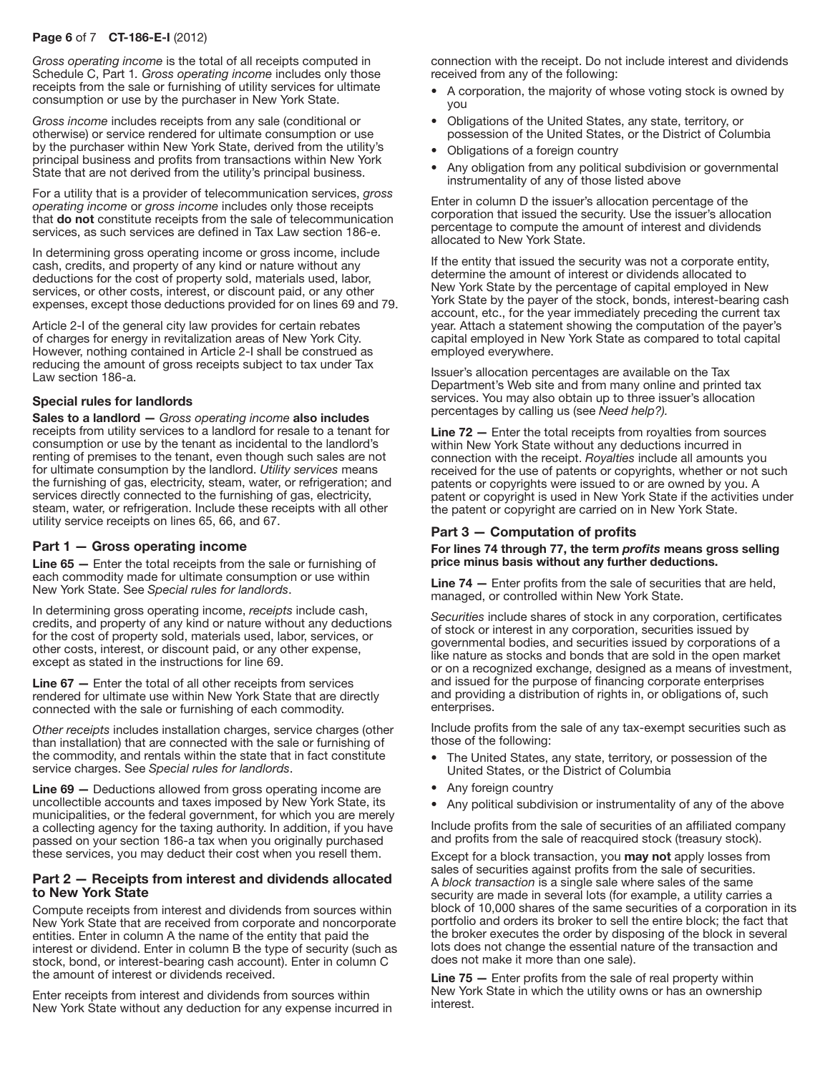# Page 6 of 7 CT-186-E-I (2012)

*Gross operating income* is the total of all receipts computed in Schedule C, Part 1*. Gross operating income* includes only those receipts from the sale or furnishing of utility services for ultimate consumption or use by the purchaser in New York State.

*Gross income* includes receipts from any sale (conditional or otherwise) or service rendered for ultimate consumption or use by the purchaser within New York State, derived from the utility's principal business and profits from transactions within New York State that are not derived from the utility's principal business.

For a utility that is a provider of telecommunication services, *gross operating income* or *gross income* includes only those receipts that do not constitute receipts from the sale of telecommunication services, as such services are defined in Tax Law section 186-e.

In determining gross operating income or gross income, include cash, credits, and property of any kind or nature without any deductions for the cost of property sold, materials used, labor, services, or other costs, interest, or discount paid, or any other expenses, except those deductions provided for on lines 69 and 79.

Article 2-I of the general city law provides for certain rebates of charges for energy in revitalization areas of New York City. However, nothing contained in Article 2-I shall be construed as reducing the amount of gross receipts subject to tax under Tax Law section 186-a.

#### Special rules for landlords

Sales to a landlord — *Gross operating income* also includes receipts from utility services to a landlord for resale to a tenant for consumption or use by the tenant as incidental to the landlord's renting of premises to the tenant, even though such sales are not for ultimate consumption by the landlord. *Utility services* means the furnishing of gas, electricity, steam, water, or refrigeration; and services directly connected to the furnishing of gas, electricity, steam, water, or refrigeration. Include these receipts with all other utility service receipts on lines 65, 66, and 67.

#### Part 1 — Gross operating income

Line 65 — Enter the total receipts from the sale or furnishing of each commodity made for ultimate consumption or use within New York State. See *Special rules for landlords*.

In determining gross operating income, *receipts* include cash, credits, and property of any kind or nature without any deductions for the cost of property sold, materials used, labor, services, or other costs, interest, or discount paid, or any other expense, except as stated in the instructions for line 69.

Line 67 — Enter the total of all other receipts from services rendered for ultimate use within New York State that are directly connected with the sale or furnishing of each commodity.

*Other receipts* includes installation charges, service charges (other than installation) that are connected with the sale or furnishing of the commodity, and rentals within the state that in fact constitute service charges. See *Special rules for landlords*.

Line 69 — Deductions allowed from gross operating income are uncollectible accounts and taxes imposed by New York State, its municipalities, or the federal government, for which you are merely a collecting agency for the taxing authority. In addition, if you have passed on your section 186‑a tax when you originally purchased these services, you may deduct their cost when you resell them.

#### Part 2 — Receipts from interest and dividends allocated to New York State

Compute receipts from interest and dividends from sources within New York State that are received from corporate and noncorporate entities. Enter in column A the name of the entity that paid the interest or dividend. Enter in column B the type of security (such as stock, bond, or interest-bearing cash account). Enter in column C the amount of interest or dividends received.

Enter receipts from interest and dividends from sources within New York State without any deduction for any expense incurred in connection with the receipt. Do not include interest and dividends received from any of the following:

- A corporation, the majority of whose voting stock is owned by you
- Obligations of the United States, any state, territory, or possession of the United States, or the District of Columbia
- Obligations of a foreign country
- Any obligation from any political subdivision or governmental instrumentality of any of those listed above

Enter in column D the issuer's allocation percentage of the corporation that issued the security. Use the issuer's allocation percentage to compute the amount of interest and dividends allocated to New York State.

If the entity that issued the security was not a corporate entity, determine the amount of interest or dividends allocated to New York State by the percentage of capital employed in New York State by the payer of the stock, bonds, interest-bearing cash account, etc., for the year immediately preceding the current tax year. Attach a statement showing the computation of the payer's capital employed in New York State as compared to total capital employed everywhere.

Issuer's allocation percentages are available on the Tax Department's Web site and from many online and printed tax services. You may also obtain up to three issuer's allocation percentages by calling us (see *Need help?).*

Line 72 - Enter the total receipts from royalties from sources within New York State without any deductions incurred in connection with the receipt. *Royalties* include all amounts you received for the use of patents or copyrights, whether or not such patents or copyrights were issued to or are owned by you. A patent or copyright is used in New York State if the activities under the patent or copyright are carried on in New York State.

# Part 3 — Computation of profits

#### For lines 74 through 77, the term *profits* means gross selling price minus basis without any further deductions.

Line 74 — Enter profits from the sale of securities that are held, managed, or controlled within New York State.

*Securities* include shares of stock in any corporation, certificates of stock or interest in any corporation, securities issued by governmental bodies, and securities issued by corporations of a like nature as stocks and bonds that are sold in the open market or on a recognized exchange, designed as a means of investment, and issued for the purpose of financing corporate enterprises and providing a distribution of rights in, or obligations of, such enterprises.

Include profits from the sale of any tax-exempt securities such as those of the following:

- The United States, any state, territory, or possession of the United States, or the District of Columbia
- Any foreign country
- Any political subdivision or instrumentality of any of the above

Include profits from the sale of securities of an affiliated company and profits from the sale of reacquired stock (treasury stock).

Except for a block transaction, you may not apply losses from sales of securities against profits from the sale of securities. A *block transaction* is a single sale where sales of the same security are made in several lots (for example, a utility carries a block of 10,000 shares of the same securities of a corporation in its portfolio and orders its broker to sell the entire block; the fact that the broker executes the order by disposing of the block in several lots does not change the essential nature of the transaction and does not make it more than one sale).

Line 75 — Enter profits from the sale of real property within New York State in which the utility owns or has an ownership interest.